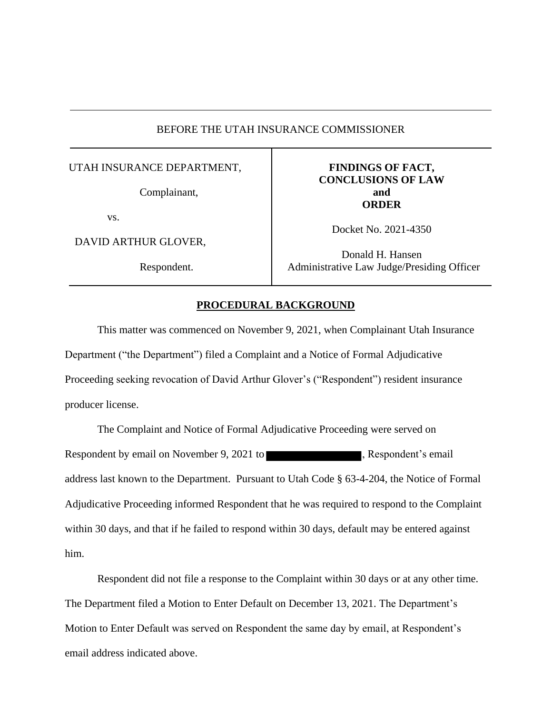# BEFORE THE UTAH INSURANCE COMMISSIONER

## UTAH INSURANCE DEPARTMENT,

Complainant,

vs.

DAVID ARTHUR GLOVER,

Respondent.

# **FINDINGS OF FACT, CONCLUSIONS OF LAW and ORDER**

Docket No. 2021-4350

Donald H. Hansen Administrative Law Judge/Presiding Officer

#### **PROCEDURAL BACKGROUND**

This matter was commenced on November 9, 2021, when Complainant Utah Insurance Department ("the Department") filed a Complaint and a Notice of Formal Adjudicative Proceeding seeking revocation of David Arthur Glover's ("Respondent") resident insurance producer license.

The Complaint and Notice of Formal Adjudicative Proceeding were served on Respondent by email on November 9, 2021 to , Respondent's email address last known to the Department. Pursuant to Utah Code § 63-4-204, the Notice of Formal Adjudicative Proceeding informed Respondent that he was required to respond to the Complaint within 30 days, and that if he failed to respond within 30 days, default may be entered against him.

Respondent did not file a response to the Complaint within 30 days or at any other time. The Department filed a Motion to Enter Default on December 13, 2021. The Department's Motion to Enter Default was served on Respondent the same day by email, at Respondent's email address indicated above.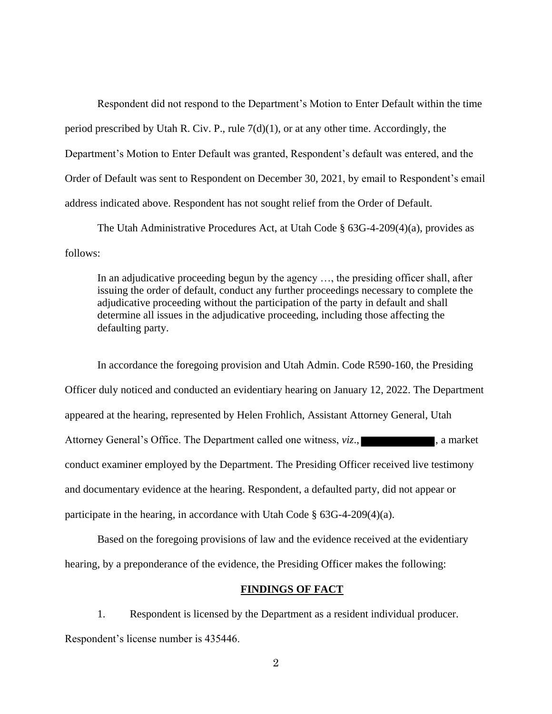Respondent did not respond to the Department's Motion to Enter Default within the time period prescribed by Utah R. Civ. P., rule  $7(d)(1)$ , or at any other time. Accordingly, the Department's Motion to Enter Default was granted, Respondent's default was entered, and the Order of Default was sent to Respondent on December 30, 2021, by email to Respondent's email address indicated above. Respondent has not sought relief from the Order of Default.

The Utah Administrative Procedures Act, at Utah Code § 63G-4-209(4)(a), provides as follows:

In an adjudicative proceeding begun by the agency …, the presiding officer shall, after issuing the order of default, conduct any further proceedings necessary to complete the adjudicative proceeding without the participation of the party in default and shall determine all issues in the adjudicative proceeding, including those affecting the defaulting party.

In accordance the foregoing provision and Utah Admin. Code R590-160, the Presiding Officer duly noticed and conducted an evidentiary hearing on January 12, 2022. The Department appeared at the hearing, represented by Helen Frohlich, Assistant Attorney General, Utah Attorney General's Office. The Department called one witness, *viz.*, , , , , , a market conduct examiner employed by the Department. The Presiding Officer received live testimony and documentary evidence at the hearing. Respondent, a defaulted party, did not appear or participate in the hearing, in accordance with Utah Code § 63G-4-209(4)(a).

Based on the foregoing provisions of law and the evidence received at the evidentiary hearing, by a preponderance of the evidence, the Presiding Officer makes the following:

### **FINDINGS OF FACT**

1. Respondent is licensed by the Department as a resident individual producer. Respondent's license number is 435446.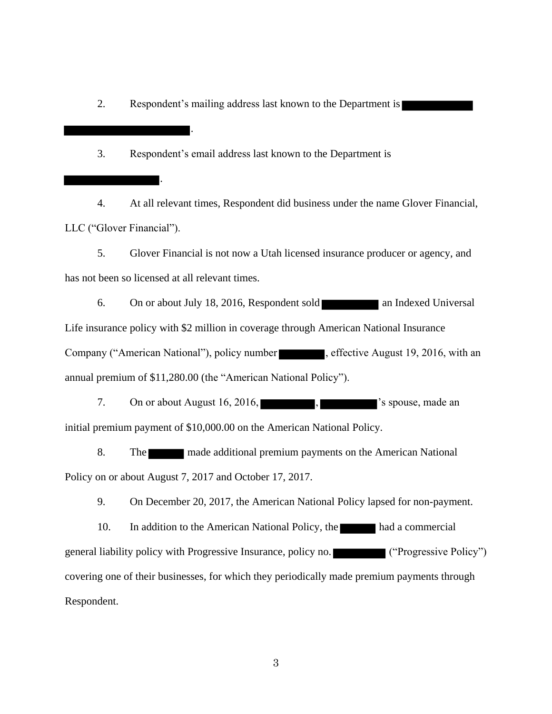2. Respondent's mailing address last known to the Department is

3. Respondent's email address last known to the Department is

.

.

4. At all relevant times, Respondent did business under the name Glover Financial, LLC ("Glover Financial").

5. Glover Financial is not now a Utah licensed insurance producer or agency, and has not been so licensed at all relevant times.

6. On or about July 18, 2016, Respondent sold an Indexed Universal Life insurance policy with \$2 million in coverage through American National Insurance Company ("American National"), policy number , effective August 19, 2016, with an annual premium of \$11,280.00 (the "American National Policy").

7. On or about August 16, 2016, https://www.facebook.com/spouse, made an initial premium payment of \$10,000.00 on the American National Policy.

8. The made additional premium payments on the American National Policy on or about August 7, 2017 and October 17, 2017.

9. On December 20, 2017, the American National Policy lapsed for non-payment.

10. In addition to the American National Policy, the had a commercial general liability policy with Progressive Insurance, policy no. ("Progressive Policy") covering one of their businesses, for which they periodically made premium payments through Respondent.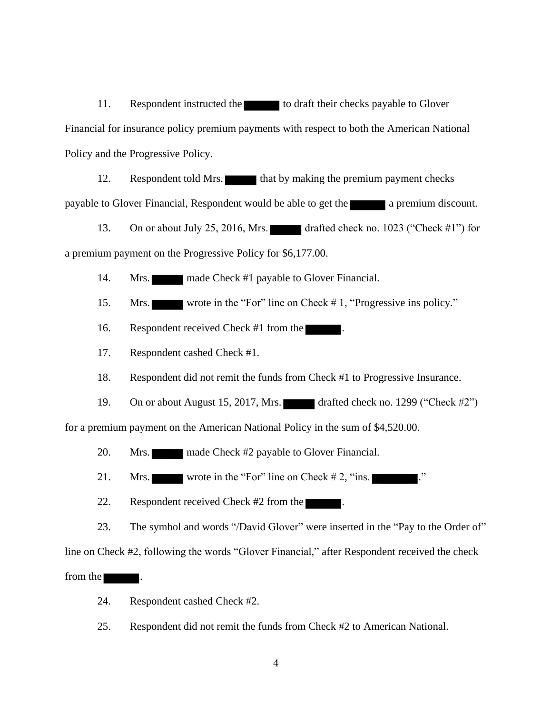11. Respondent instructed the to draft their checks payable to Glover Financial for insurance policy premium payments with respect to both the American National Policy and the Progressive Policy.

12. Respondent told Mrs. that by making the premium payment checks payable to Glover Financial, Respondent would be able to get the a premium discount.

13. On or about July 25, 2016, Mrs. drafted check no. 1023 ("Check #1") for a premium payment on the Progressive Policy for \$6,177.00.

14. Mrs. made Check #1 payable to Glover Financial.

15. Mrs. wrote in the "For" line on Check # 1, "Progressive ins policy."

16. Respondent received Check #1 from the

17. Respondent cashed Check #1.

18. Respondent did not remit the funds from Check #1 to Progressive Insurance.

19. On or about August 15, 2017, Mrs. drafted check no. 1299 ("Check #2")

for a premium payment on the American National Policy in the sum of \$4,520.00.

20. Mrs. made Check #2 payable to Glover Financial.

21. Mrs. wrote in the "For" line on Check  $# 2$ , "ins.

22. Respondent received Check #2 from the

23. The symbol and words "/David Glover" were inserted in the "Pay to the Order of"

line on Check #2, following the words "Glover Financial," after Respondent received the check

from the  $\blacksquare$ .

24. Respondent cashed Check #2.

25. Respondent did not remit the funds from Check #2 to American National.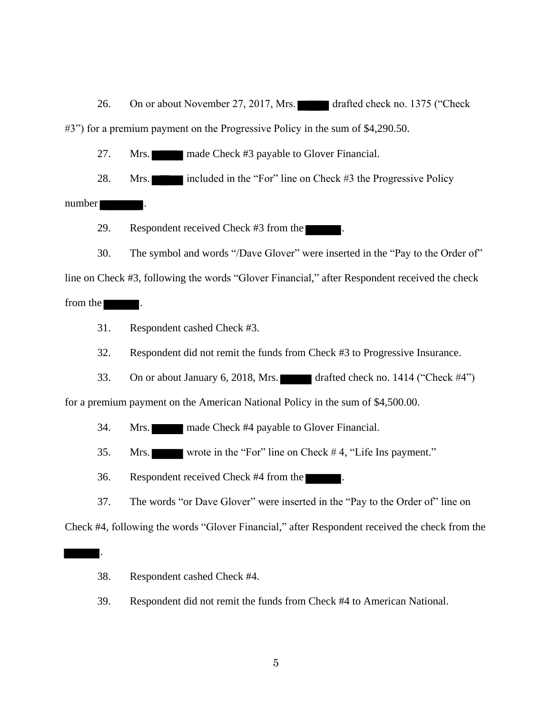26. On or about November 27, 2017, Mrs. drafted check no. 1375 ("Check" #3") for a premium payment on the Progressive Policy in the sum of \$4,290.50.

27. Mrs. made Check #3 payable to Glover Financial.

28. Mrs. included in the "For" line on Check #3 the Progressive Policy

number .

.

29. Respondent received Check #3 from the

30. The symbol and words "/Dave Glover" were inserted in the "Pay to the Order of" line on Check #3, following the words "Glover Financial," after Respondent received the check from the

31. Respondent cashed Check #3.

32. Respondent did not remit the funds from Check #3 to Progressive Insurance.

33. On or about January 6, 2018, Mrs. drafted check no. 1414 ("Check  $\#4$ ")

for a premium payment on the American National Policy in the sum of \$4,500.00.

- 34. Mrs. made Check #4 payable to Glover Financial.
- 35. Mrs. wrote in the "For" line on Check # 4, "Life Ins payment."
- 36. Respondent received Check #4 from the .
- 37. The words "or Dave Glover" were inserted in the "Pay to the Order of" line on

Check #4, following the words "Glover Financial," after Respondent received the check from the

- 38. Respondent cashed Check #4.
- 39. Respondent did not remit the funds from Check #4 to American National.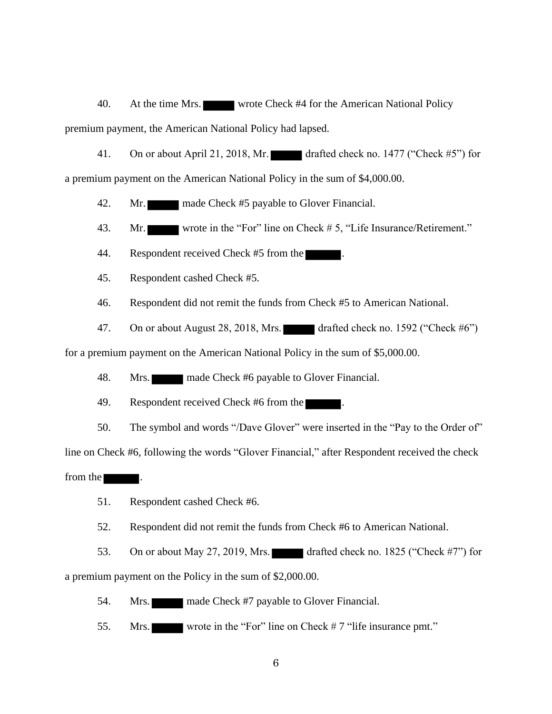40. At the time Mrs. wrote Check #4 for the American National Policy premium payment, the American National Policy had lapsed.

41. On or about April 21, 2018, Mr. drafted check no. 1477 ("Check #5") for

a premium payment on the American National Policy in the sum of \$4,000.00.

42. Mr. made Check #5 payable to Glover Financial.

43. Mr. wrote in the "For" line on Check #5, "Life Insurance/Retirement."

44. Respondent received Check #5 from the

45. Respondent cashed Check #5.

46. Respondent did not remit the funds from Check #5 to American National.

47. On or about August 28, 2018, Mrs. drafted check no. 1592 ("Check  $\#6$ ")

for a premium payment on the American National Policy in the sum of \$5,000.00.

48. Mrs. made Check #6 payable to Glover Financial.

49. Respondent received Check #6 from the

50. The symbol and words "/Dave Glover" were inserted in the "Pay to the Order of"

line on Check #6, following the words "Glover Financial," after Respondent received the check

from the

51. Respondent cashed Check #6.

52. Respondent did not remit the funds from Check #6 to American National.

53. On or about May 27, 2019, Mrs. drafted check no. 1825 ("Check #7") for a premium payment on the Policy in the sum of \$2,000.00.

54. Mrs. made Check #7 payable to Glover Financial.

55. Mrs. wrote in the "For" line on Check # 7 "life insurance pmt."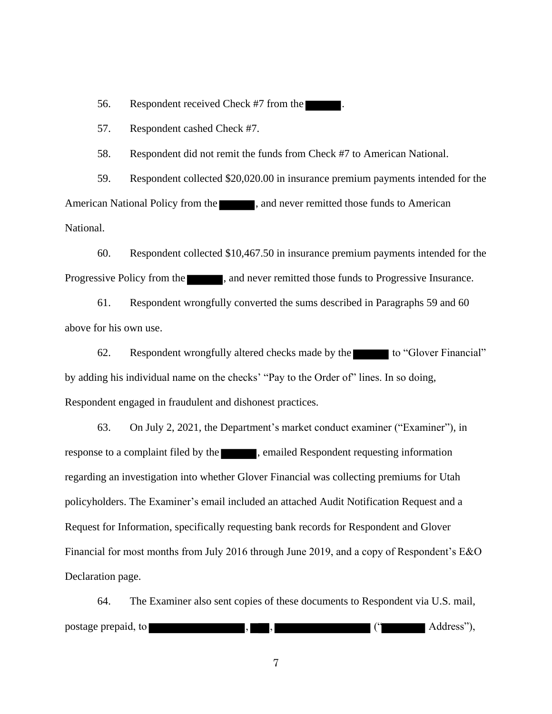56. Respondent received Check #7 from the

57. Respondent cashed Check #7.

58. Respondent did not remit the funds from Check #7 to American National.

59. Respondent collected \$20,020.00 in insurance premium payments intended for the American National Policy from the **1996**, and never remitted those funds to American National.

60. Respondent collected \$10,467.50 in insurance premium payments intended for the Progressive Policy from the  $\blacksquare$ , and never remitted those funds to Progressive Insurance.

61. Respondent wrongfully converted the sums described in Paragraphs 59 and 60 above for his own use.

62. Respondent wrongfully altered checks made by the to "Glover Financial" by adding his individual name on the checks' "Pay to the Order of" lines. In so doing, Respondent engaged in fraudulent and dishonest practices.

63. On July 2, 2021, the Department's market conduct examiner ("Examiner"), in response to a complaint filed by the straining emailed Respondent requesting information regarding an investigation into whether Glover Financial was collecting premiums for Utah policyholders. The Examiner's email included an attached Audit Notification Request and a Request for Information, specifically requesting bank records for Respondent and Glover Financial for most months from July 2016 through June 2019, and a copy of Respondent's E&O Declaration page.

64. The Examiner also sent copies of these documents to Respondent via U.S. mail, postage prepaid, to subset of the set of the set of the set of the set of the Address"),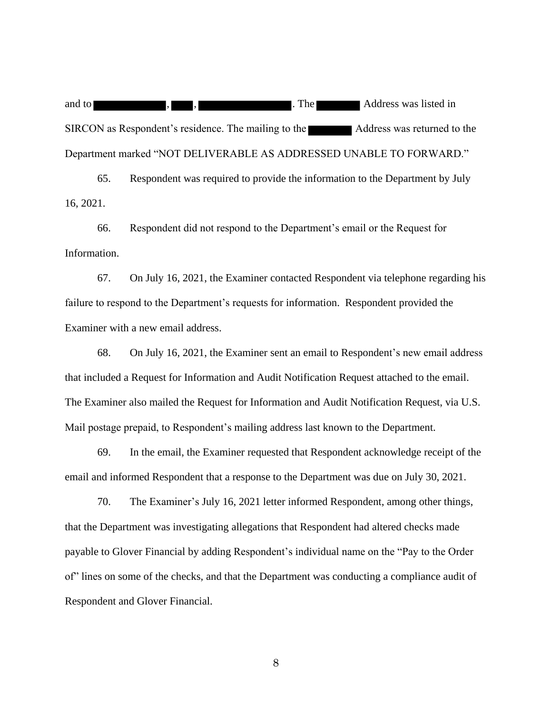and to , , . The Address was listed in SIRCON as Respondent's residence. The mailing to the Address was returned to the Department marked "NOT DELIVERABLE AS ADDRESSED UNABLE TO FORWARD."

65. Respondent was required to provide the information to the Department by July 16, 2021.

66. Respondent did not respond to the Department's email or the Request for Information.

67. On July 16, 2021, the Examiner contacted Respondent via telephone regarding his failure to respond to the Department's requests for information. Respondent provided the Examiner with a new email address.

68. On July 16, 2021, the Examiner sent an email to Respondent's new email address that included a Request for Information and Audit Notification Request attached to the email. The Examiner also mailed the Request for Information and Audit Notification Request, via U.S. Mail postage prepaid, to Respondent's mailing address last known to the Department.

69. In the email, the Examiner requested that Respondent acknowledge receipt of the email and informed Respondent that a response to the Department was due on July 30, 2021.

70. The Examiner's July 16, 2021 letter informed Respondent, among other things, that the Department was investigating allegations that Respondent had altered checks made payable to Glover Financial by adding Respondent's individual name on the "Pay to the Order of" lines on some of the checks, and that the Department was conducting a compliance audit of Respondent and Glover Financial.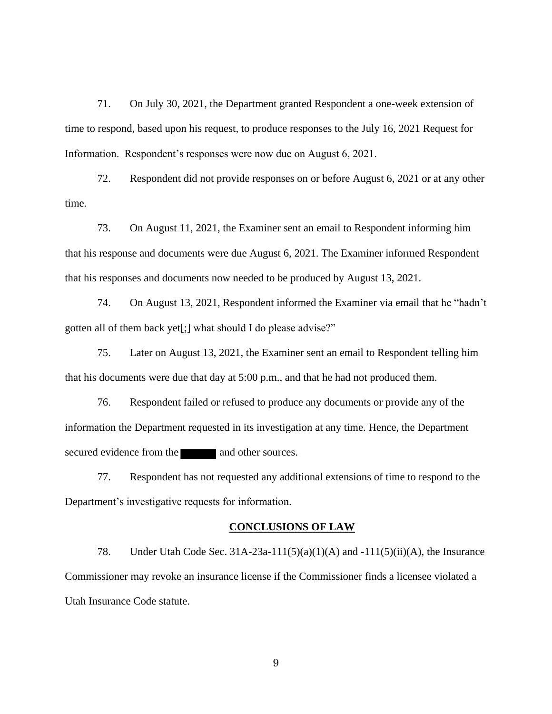71. On July 30, 2021, the Department granted Respondent a one-week extension of time to respond, based upon his request, to produce responses to the July 16, 2021 Request for Information. Respondent's responses were now due on August 6, 2021.

72. Respondent did not provide responses on or before August 6, 2021 or at any other time.

73. On August 11, 2021, the Examiner sent an email to Respondent informing him that his response and documents were due August 6, 2021. The Examiner informed Respondent that his responses and documents now needed to be produced by August 13, 2021.

74. On August 13, 2021, Respondent informed the Examiner via email that he "hadn't gotten all of them back yet[;] what should I do please advise?"

75. Later on August 13, 2021, the Examiner sent an email to Respondent telling him that his documents were due that day at 5:00 p.m., and that he had not produced them.

76. Respondent failed or refused to produce any documents or provide any of the information the Department requested in its investigation at any time. Hence, the Department secured evidence from the and other sources.

77. Respondent has not requested any additional extensions of time to respond to the Department's investigative requests for information.

#### **CONCLUSIONS OF LAW**

78. Under Utah Code Sec. 31A-23a-111(5)(a)(1)(A) and -111(5)(ii)(A), the Insurance Commissioner may revoke an insurance license if the Commissioner finds a licensee violated a Utah Insurance Code statute.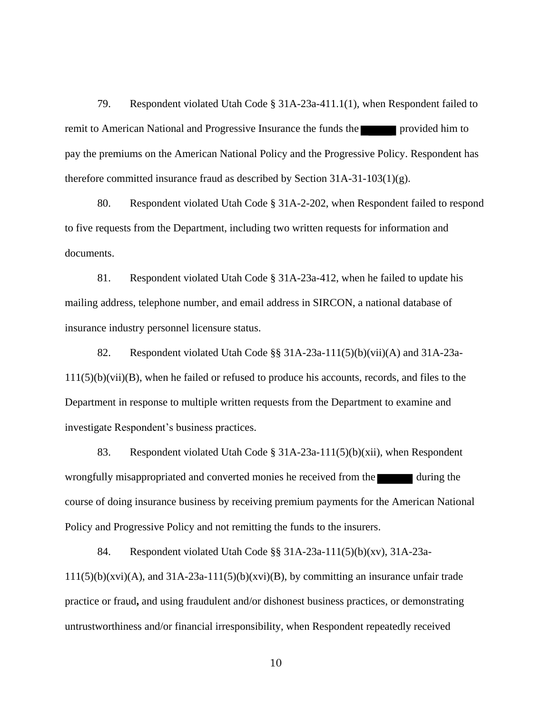79. Respondent violated Utah Code § 31A-23a-411.1(1), when Respondent failed to remit to American National and Progressive Insurance the funds the provided him to pay the premiums on the American National Policy and the Progressive Policy. Respondent has therefore committed insurance fraud as described by Section  $31A-31-103(1)(g)$ .

80. Respondent violated Utah Code § 31A-2-202, when Respondent failed to respond to five requests from the Department, including two written requests for information and documents.

81. Respondent violated Utah Code § 31A-23a-412, when he failed to update his mailing address, telephone number, and email address in SIRCON, a national database of insurance industry personnel licensure status.

82. Respondent violated Utah Code §§ 31A-23a-111(5)(b)(vii)(A) and 31A-23a-111(5)(b)(vii)(B), when he failed or refused to produce his accounts, records, and files to the Department in response to multiple written requests from the Department to examine and investigate Respondent's business practices.

83. Respondent violated Utah Code § 31A-23a-111(5)(b)(xii), when Respondent wrongfully misappropriated and converted monies he received from the during the course of doing insurance business by receiving premium payments for the American National Policy and Progressive Policy and not remitting the funds to the insurers.

84. Respondent violated Utah Code §§ 31A-23a-111(5)(b)(xv), 31A-23a- $111(5)(b)(xvi)(A)$ , and  $31A-23a-111(5)(b)(xvi)(B)$ , by committing an insurance unfair trade practice or fraud**,** and using fraudulent and/or dishonest business practices, or demonstrating untrustworthiness and/or financial irresponsibility, when Respondent repeatedly received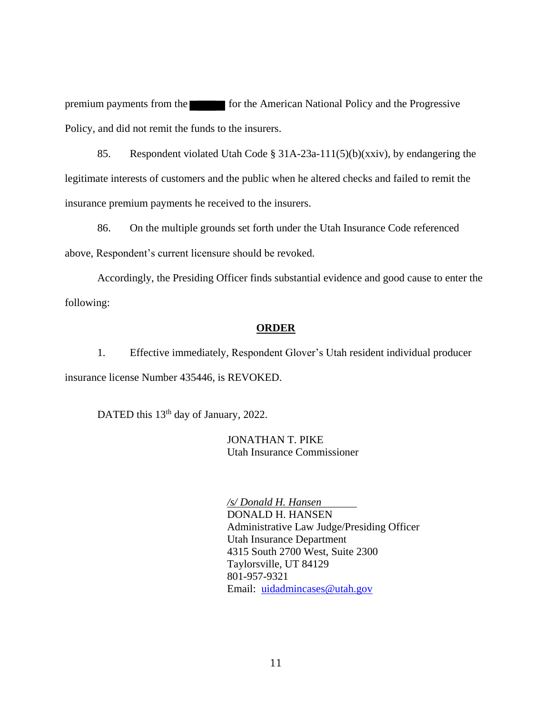premium payments from the form the form the American National Policy and the Progressive Policy, and did not remit the funds to the insurers.

85. Respondent violated Utah Code § 31A-23a-111(5)(b)(xxiv), by endangering the legitimate interests of customers and the public when he altered checks and failed to remit the insurance premium payments he received to the insurers.

86. On the multiple grounds set forth under the Utah Insurance Code referenced above, Respondent's current licensure should be revoked.

Accordingly, the Presiding Officer finds substantial evidence and good cause to enter the following:

### **ORDER**

1. Effective immediately, Respondent Glover's Utah resident individual producer insurance license Number 435446, is REVOKED.

DATED this 13<sup>th</sup> day of January, 2022.

JONATHAN T. PIKE Utah Insurance Commissioner

*/s/ Donald H. Hansen* DONALD H. HANSEN Administrative Law Judge/Presiding Officer Utah Insurance Department 4315 South 2700 West, Suite 2300 Taylorsville, UT 84129 801-957-9321 Email: uidadmincases@utah.gov